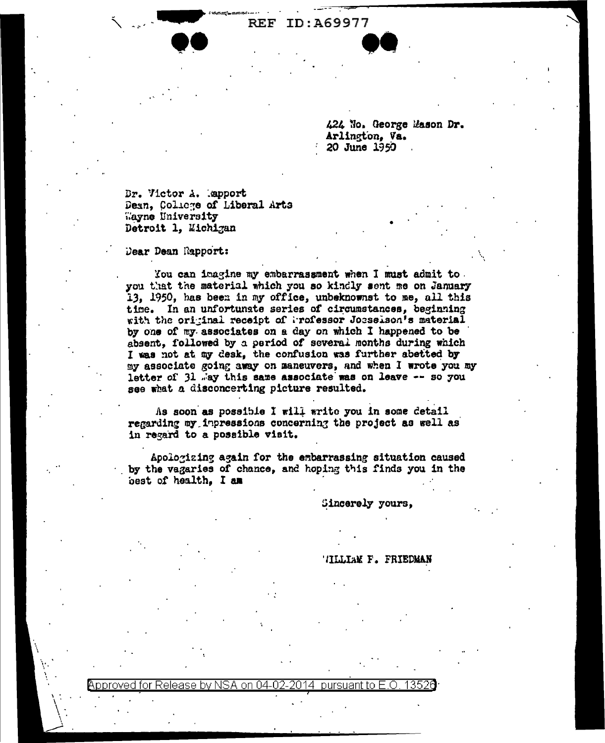ID:A69977  $\bf REF$ 

> 424 No. George Mason Dr. Arlington, Va. 20 June 1950

Br. Victor A. Mapport Dean, Colicge of Liberal Arts Wayne University Detroit 1, Michigan

Dear Dean Rapport:

You can imagine my embarrassment when I must admit to. you that the material which you so kindly sent me on January 13, 1950, has been in my office, unbeknownst to me, all this time. In an unfortunate series of circumstances, beginning with the original receipt of Professor Josselson's material by one of my associates on a day on which I happened to be absent, followed by a period of several months during which I was not at my desk, the confusion was further abetted by my associate going away on maneuvers, and when I wrote you my letter of 31 way this same associate was on leave -- so you see what a disconcerting picture resulted.

As soon as possible I will write you in some detail regarding my impressions concerning the project as well as in regard to a possible visit.

Apologizing again for the embarrassing situation caused by the vagaries of chance, and hoping this finds you in the best of health, I am

Sincerely yours,

## TILLIAM F. FRIEDMAN

## Approved for Release by NSA on 04-02pursuant to E.O. 2014